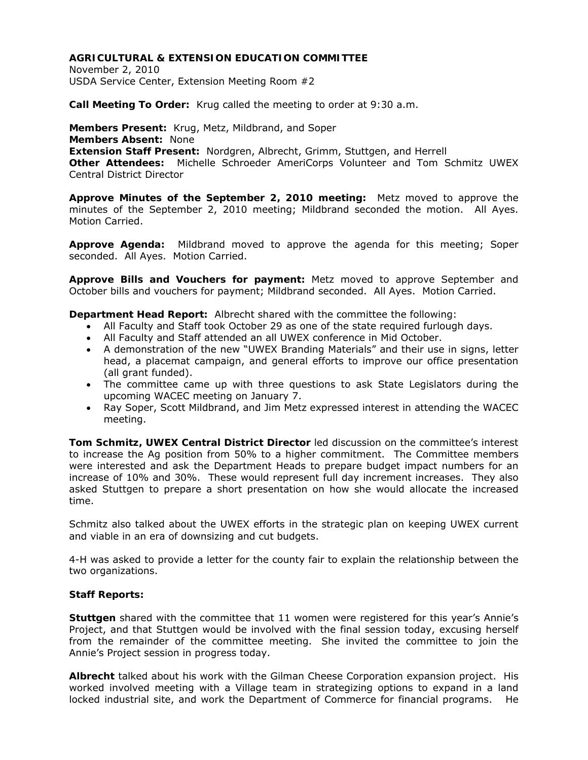November 2, 2010 USDA Service Center, Extension Meeting Room #2

**Call Meeting To Order:** Krug called the meeting to order at 9:30 a.m.

**Members Present:** Krug, Metz, Mildbrand, and Soper **Members Absent:** None **Extension Staff Present:** Nordgren, Albrecht, Grimm, Stuttgen, and Herrell **Other Attendees:** Michelle Schroeder AmeriCorps Volunteer and Tom Schmitz UWEX Central District Director

**Approve Minutes of the September 2, 2010 meeting:** Metz moved to approve the minutes of the September 2, 2010 meeting; Mildbrand seconded the motion. All Ayes. Motion Carried.

**Approve Agenda:** Mildbrand moved to approve the agenda for this meeting; Soper seconded. All Ayes. Motion Carried.

**Approve Bills and Vouchers for payment:** Metz moved to approve September and October bills and vouchers for payment; Mildbrand seconded. All Ayes. Motion Carried.

**Department Head Report:** Albrecht shared with the committee the following:

- All Faculty and Staff took October 29 as one of the state required furlough days.
- All Faculty and Staff attended an all UWEX conference in Mid October.
- A demonstration of the new "UWEX Branding Materials" and their use in signs, letter head, a placemat campaign, and general efforts to improve our office presentation (all grant funded).
- The committee came up with three questions to ask State Legislators during the upcoming WACEC meeting on January 7.
- Ray Soper, Scott Mildbrand, and Jim Metz expressed interest in attending the WACEC meeting.

**Tom Schmitz, UWEX Central District Director** led discussion on the committee's interest to increase the Ag position from 50% to a higher commitment. The Committee members were interested and ask the Department Heads to prepare budget impact numbers for an increase of 10% and 30%. These would represent full day increment increases. They also asked Stuttgen to prepare a short presentation on how she would allocate the increased time.

Schmitz also talked about the UWEX efforts in the strategic plan on keeping UWEX current and viable in an era of downsizing and cut budgets.

4-H was asked to provide a letter for the county fair to explain the relationship between the two organizations.

# **Staff Reports:**

**Stuttgen** shared with the committee that 11 women were registered for this year's Annie's Project, and that Stuttgen would be involved with the final session today, excusing herself from the remainder of the committee meeting. She invited the committee to join the Annie's Project session in progress today.

**Albrecht** talked about his work with the Gilman Cheese Corporation expansion project. His worked involved meeting with a Village team in strategizing options to expand in a land locked industrial site, and work the Department of Commerce for financial programs. He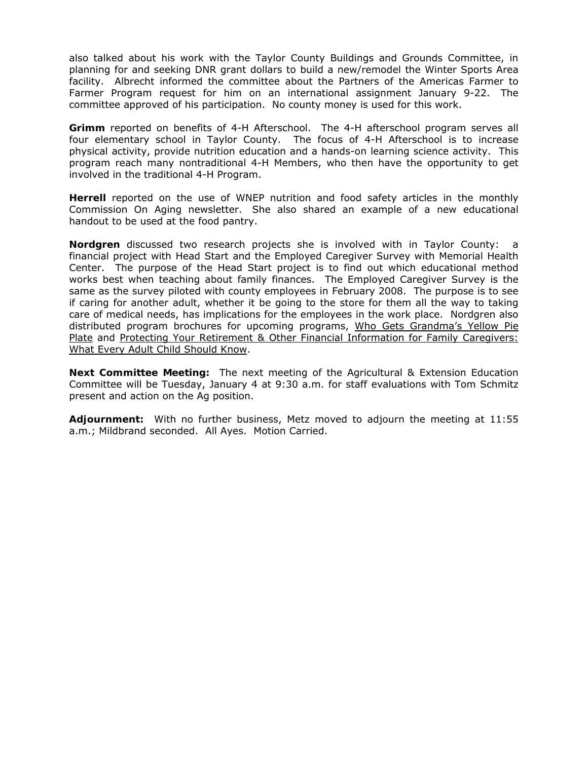also talked about his work with the Taylor County Buildings and Grounds Committee, in planning for and seeking DNR grant dollars to build a new/remodel the Winter Sports Area facility. Albrecht informed the committee about the Partners of the Americas Farmer to Farmer Program request for him on an international assignment January 9-22. The committee approved of his participation. No county money is used for this work.

**Grimm** reported on benefits of 4-H Afterschool. The 4-H afterschool program serves all four elementary school in Taylor County. The focus of 4-H Afterschool is to increase physical activity, provide nutrition education and a hands-on learning science activity. This program reach many nontraditional 4-H Members, who then have the opportunity to get involved in the traditional 4-H Program.

**Herrell** reported on the use of WNEP nutrition and food safety articles in the monthly Commission On Aging newsletter. She also shared an example of a new educational handout to be used at the food pantry.

**Nordgren** discussed two research projects she is involved with in Taylor County: a financial project with Head Start and the Employed Caregiver Survey with Memorial Health Center. The purpose of the Head Start project is to find out which educational method works best when teaching about family finances. The Employed Caregiver Survey is the same as the survey piloted with county employees in February 2008. The purpose is to see if caring for another adult, whether it be going to the store for them all the way to taking care of medical needs, has implications for the employees in the work place. Nordgren also distributed program brochures for upcoming programs, Who Gets Grandma's Yellow Pie Plate and Protecting Your Retirement & Other Financial Information for Family Caregivers: What Every Adult Child Should Know.

**Next Committee Meeting:** The next meeting of the Agricultural & Extension Education Committee will be Tuesday, January 4 at 9:30 a.m. for staff evaluations with Tom Schmitz present and action on the Ag position.

**Adjournment:** With no further business, Metz moved to adjourn the meeting at 11:55 a.m.; Mildbrand seconded. All Ayes. Motion Carried.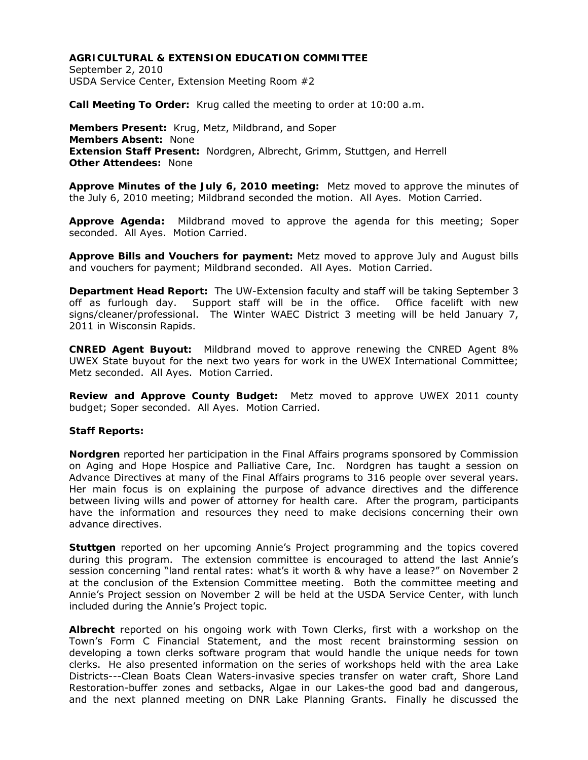September 2, 2010 USDA Service Center, Extension Meeting Room #2

**Call Meeting To Order:** Krug called the meeting to order at 10:00 a.m.

**Members Present:** Krug, Metz, Mildbrand, and Soper **Members Absent:** None **Extension Staff Present:** Nordgren, Albrecht, Grimm, Stuttgen, and Herrell **Other Attendees:** None

**Approve Minutes of the July 6, 2010 meeting:** Metz moved to approve the minutes of the July 6, 2010 meeting; Mildbrand seconded the motion. All Ayes. Motion Carried.

**Approve Agenda:** Mildbrand moved to approve the agenda for this meeting; Soper seconded. All Ayes. Motion Carried.

**Approve Bills and Vouchers for payment:** Metz moved to approve July and August bills and vouchers for payment; Mildbrand seconded. All Ayes. Motion Carried.

**Department Head Report:** The UW-Extension faculty and staff will be taking September 3 off as furlough day. Support staff will be in the office. Office facelift with new signs/cleaner/professional. The Winter WAEC District 3 meeting will be held January 7, 2011 in Wisconsin Rapids.

**CNRED Agent Buyout:** Mildbrand moved to approve renewing the CNRED Agent 8% UWEX State buyout for the next two years for work in the UWEX International Committee; Metz seconded. All Ayes. Motion Carried.

**Review and Approve County Budget:** Metz moved to approve UWEX 2011 county budget; Soper seconded. All Ayes. Motion Carried.

#### **Staff Reports:**

**Nordgren** reported her participation in the Final Affairs programs sponsored by Commission on Aging and Hope Hospice and Palliative Care, Inc. Nordgren has taught a session on Advance Directives at many of the Final Affairs programs to 316 people over several years. Her main focus is on explaining the purpose of advance directives and the difference between living wills and power of attorney for health care. After the program, participants have the information and resources they need to make decisions concerning their own advance directives.

**Stuttgen** reported on her upcoming Annie's Project programming and the topics covered during this program. The extension committee is encouraged to attend the last Annie's session concerning "land rental rates: what's it worth & why have a lease?" on November 2 at the conclusion of the Extension Committee meeting. Both the committee meeting and Annie's Project session on November 2 will be held at the USDA Service Center, with lunch included during the Annie's Project topic.

**Albrecht** reported on his ongoing work with Town Clerks, first with a workshop on the Town's Form C Financial Statement, and the most recent brainstorming session on developing a town clerks software program that would handle the unique needs for town clerks. He also presented information on the series of workshops held with the area Lake Districts---Clean Boats Clean Waters-invasive species transfer on water craft, Shore Land Restoration-buffer zones and setbacks, Algae in our Lakes-the good bad and dangerous, and the next planned meeting on DNR Lake Planning Grants. Finally he discussed the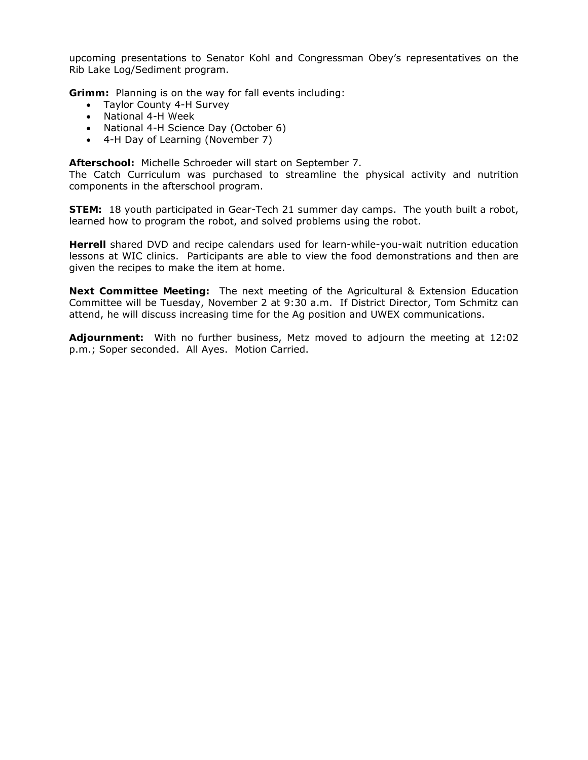upcoming presentations to Senator Kohl and Congressman Obey's representatives on the Rib Lake Log/Sediment program.

**Grimm:** Planning is on the way for fall events including:

- Taylor County 4-H Survey
- National 4-H Week
- National 4-H Science Day (October 6)
- 4-H Day of Learning (November 7)

**Afterschool:** Michelle Schroeder will start on September 7.

The Catch Curriculum was purchased to streamline the physical activity and nutrition components in the afterschool program.

**STEM:** 18 youth participated in Gear-Tech 21 summer day camps. The youth built a robot, learned how to program the robot, and solved problems using the robot.

**Herrell** shared DVD and recipe calendars used for learn-while-you-wait nutrition education lessons at WIC clinics. Participants are able to view the food demonstrations and then are given the recipes to make the item at home.

**Next Committee Meeting:** The next meeting of the Agricultural & Extension Education Committee will be Tuesday, November 2 at 9:30 a.m. If District Director, Tom Schmitz can attend, he will discuss increasing time for the Ag position and UWEX communications.

**Adjournment:** With no further business, Metz moved to adjourn the meeting at 12:02 p.m.; Soper seconded. All Ayes. Motion Carried.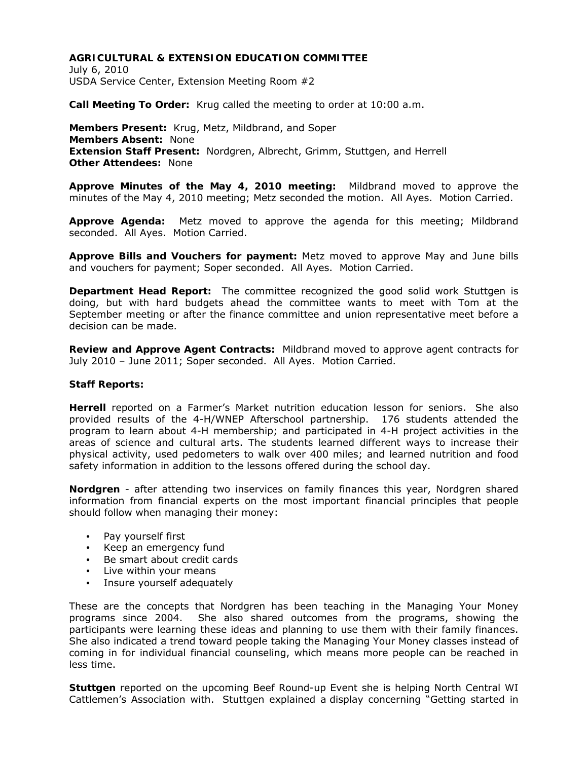July 6, 2010 USDA Service Center, Extension Meeting Room #2

**Call Meeting To Order:** Krug called the meeting to order at 10:00 a.m.

**Members Present:** Krug, Metz, Mildbrand, and Soper **Members Absent:** None **Extension Staff Present:** Nordgren, Albrecht, Grimm, Stuttgen, and Herrell **Other Attendees:** None

**Approve Minutes of the May 4, 2010 meeting:** Mildbrand moved to approve the minutes of the May 4, 2010 meeting; Metz seconded the motion. All Ayes. Motion Carried.

**Approve Agenda:** Metz moved to approve the agenda for this meeting; Mildbrand seconded. All Ayes. Motion Carried.

**Approve Bills and Vouchers for payment:** Metz moved to approve May and June bills and vouchers for payment; Soper seconded. All Ayes. Motion Carried.

**Department Head Report:** The committee recognized the good solid work Stuttgen is doing, but with hard budgets ahead the committee wants to meet with Tom at the September meeting or after the finance committee and union representative meet before a decision can be made.

**Review and Approve Agent Contracts:** Mildbrand moved to approve agent contracts for July 2010 – June 2011; Soper seconded. All Ayes. Motion Carried.

### **Staff Reports:**

**Herrell** reported on a Farmer's Market nutrition education lesson for seniors. She also provided results of the 4-H/WNEP Afterschool partnership. 176 students attended the program to learn about 4-H membership; and participated in 4-H project activities in the areas of science and cultural arts. The students learned different ways to increase their physical activity, used pedometers to walk over 400 miles; and learned nutrition and food safety information in addition to the lessons offered during the school day.

**Nordgren** - after attending two inservices on family finances this year, Nordgren shared information from financial experts on the most important financial principles that people should follow when managing their money:

- Pay yourself first
- Keep an emergency fund
- Be smart about credit cards
- Live within your means
- Insure yourself adequately

These are the concepts that Nordgren has been teaching in the Managing Your Money programs since 2004. She also shared outcomes from the programs, showing the participants were learning these ideas and planning to use them with their family finances. She also indicated a trend toward people taking the Managing Your Money classes instead of coming in for individual financial counseling, which means more people can be reached in less time.

**Stuttgen** reported on the upcoming Beef Round-up Event she is helping North Central WI Cattlemen's Association with. Stuttgen explained a display concerning "Getting started in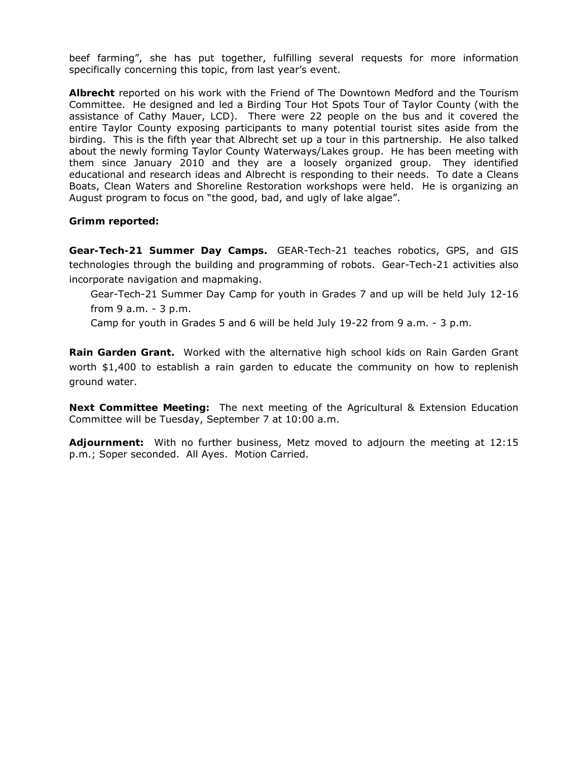beef farming", she has put together, fulfilling several requests for more information specifically concerning this topic, from last year's event.

**Albrecht** reported on his work with the Friend of The Downtown Medford and the Tourism Committee. He designed and led a Birding Tour Hot Spots Tour of Taylor County (with the assistance of Cathy Mauer, LCD). There were 22 people on the bus and it covered the entire Taylor County exposing participants to many potential tourist sites aside from the birding. This is the fifth year that Albrecht set up a tour in this partnership. He also talked about the newly forming Taylor County Waterways/Lakes group. He has been meeting with them since January 2010 and they are a loosely organized group. They identified educational and research ideas and Albrecht is responding to their needs. To date a Cleans Boats, Clean Waters and Shoreline Restoration workshops were held. He is organizing an August program to focus on "the good, bad, and ugly of lake algae".

**Grimm reported:** 

**Gear-Tech-21 Summer Day Camps.** GEAR-Tech-21 teaches robotics, GPS, and GIS technologies through the building and programming of robots. Gear-Tech-21 activities also incorporate navigation and mapmaking.

 Gear-Tech-21 Summer Day Camp for youth in Grades 7 and up will be held July 12-16 from 9 a.m. - 3 p.m.

Camp for youth in Grades 5 and 6 will be held July 19-22 from 9 a.m. - 3 p.m.

**Rain Garden Grant.** Worked with the alternative high school kids on Rain Garden Grant worth \$1,400 to establish a rain garden to educate the community on how to replenish ground water.

**Next Committee Meeting:** The next meeting of the Agricultural & Extension Education Committee will be Tuesday, September 7 at 10:00 a.m.

**Adjournment:** With no further business, Metz moved to adjourn the meeting at 12:15 p.m.; Soper seconded. All Ayes. Motion Carried.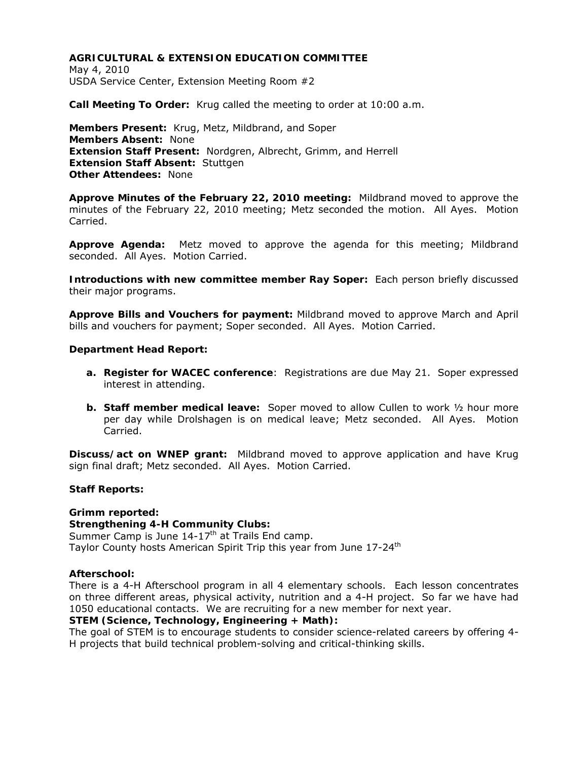May 4, 2010 USDA Service Center, Extension Meeting Room #2

**Call Meeting To Order:** Krug called the meeting to order at 10:00 a.m.

**Members Present:** Krug, Metz, Mildbrand, and Soper **Members Absent:** None **Extension Staff Present:** Nordgren, Albrecht, Grimm, and Herrell **Extension Staff Absent:** Stuttgen **Other Attendees:** None

**Approve Minutes of the February 22, 2010 meeting:** Mildbrand moved to approve the minutes of the February 22, 2010 meeting; Metz seconded the motion. All Ayes. Motion Carried.

**Approve Agenda:** Metz moved to approve the agenda for this meeting; Mildbrand seconded. All Ayes. Motion Carried.

**Introductions with new committee member Ray Soper:** Each person briefly discussed their major programs.

**Approve Bills and Vouchers for payment:** Mildbrand moved to approve March and April bills and vouchers for payment; Soper seconded. All Ayes. Motion Carried.

#### **Department Head Report:**

- **a. Register for WACEC conference**: Registrations are due May 21. Soper expressed interest in attending.
- **b. Staff member medical leave:** Soper moved to allow Cullen to work ½ hour more per day while Drolshagen is on medical leave; Metz seconded. All Ayes. Motion Carried.

**Discuss/act on WNEP grant:** Mildbrand moved to approve application and have Krug sign final draft; Metz seconded. All Ayes. Motion Carried.

#### **Staff Reports:**

**Grimm reported: Strengthening 4-H Community Clubs:**  Summer Camp is June  $14-17$ <sup>th</sup> at Trails End camp. Taylor County hosts American Spirit Trip this year from June 17-24<sup>th</sup>

#### **Afterschool:**

There is a 4-H Afterschool program in all 4 elementary schools. Each lesson concentrates on three different areas, physical activity, nutrition and a 4-H project. So far we have had 1050 educational contacts. We are recruiting for a new member for next year.

#### **STEM (Science, Technology, Engineering + Math):**

The goal of STEM is to encourage students to consider science-related careers by offering 4- H projects that build technical problem-solving and critical-thinking skills.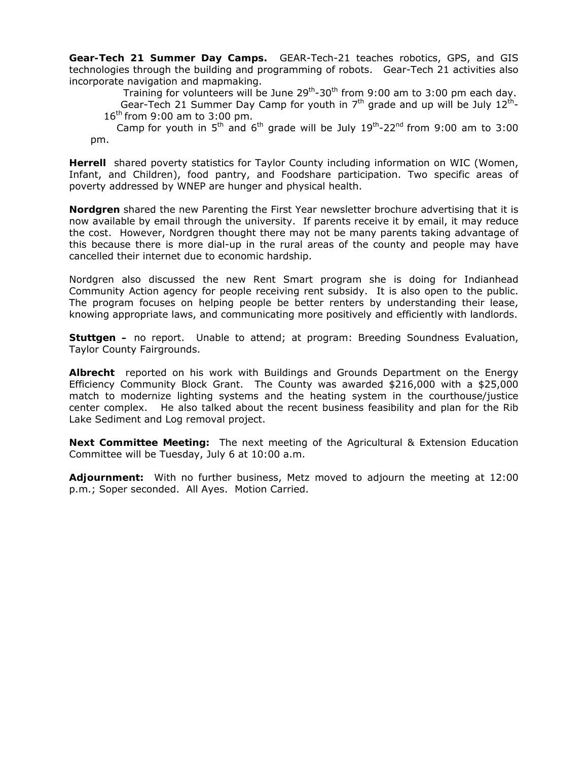**Gear-Tech 21 Summer Day Camps.** GEAR-Tech-21 teaches robotics, GPS, and GIS technologies through the building and programming of robots. Gear-Tech 21 activities also incorporate navigation and mapmaking.

 Training for volunteers will be June 29th-30th from 9:00 am to 3:00 pm each day. Gear-Tech 21 Summer Day Camp for youth in  $7<sup>th</sup>$  grade and up will be July  $12<sup>th</sup>$ -16<sup>th</sup> from 9:00 am to 3:00 pm.

Camp for youth in  $5<sup>th</sup>$  and  $6<sup>th</sup>$  grade will be July  $19<sup>th</sup>$ -22<sup>nd</sup> from 9:00 am to 3:00 pm.

**Herrell** shared poverty statistics for Taylor County including information on WIC (Women, Infant, and Children), food pantry, and Foodshare participation. Two specific areas of poverty addressed by WNEP are hunger and physical health.

**Nordgren** shared the new Parenting the First Year newsletter brochure advertising that it is now available by email through the university. If parents receive it by email, it may reduce the cost. However, Nordgren thought there may not be many parents taking advantage of this because there is more dial-up in the rural areas of the county and people may have cancelled their internet due to economic hardship.

Nordgren also discussed the new Rent Smart program she is doing for Indianhead Community Action agency for people receiving rent subsidy. It is also open to the public. The program focuses on helping people be better renters by understanding their lease, knowing appropriate laws, and communicating more positively and efficiently with landlords.

**Stuttgen –** no report. Unable to attend; at program: Breeding Soundness Evaluation, Taylor County Fairgrounds.

**Albrecht** reported on his work with Buildings and Grounds Department on the Energy Efficiency Community Block Grant. The County was awarded \$216,000 with a \$25,000 match to modernize lighting systems and the heating system in the courthouse/justice center complex. He also talked about the recent business feasibility and plan for the Rib Lake Sediment and Log removal project.

**Next Committee Meeting:** The next meeting of the Agricultural & Extension Education Committee will be Tuesday, July 6 at 10:00 a.m.

**Adjournment:** With no further business, Metz moved to adjourn the meeting at 12:00 p.m.; Soper seconded. All Ayes. Motion Carried.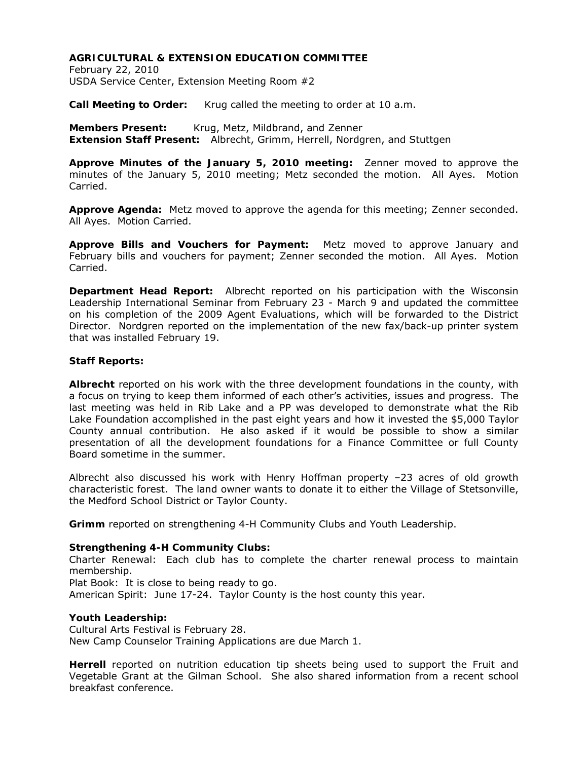February 22, 2010 USDA Service Center, Extension Meeting Room #2

Call Meeting to Order: Krug called the meeting to order at 10 a.m.

**Members Present:** Krug, Metz, Mildbrand, and Zenner **Extension Staff Present:** Albrecht, Grimm, Herrell, Nordgren, and Stuttgen

**Approve Minutes of the January 5, 2010 meeting:** Zenner moved to approve the minutes of the January 5, 2010 meeting; Metz seconded the motion. All Ayes. Motion Carried.

**Approve Agenda:** Metz moved to approve the agenda for this meeting; Zenner seconded. All Ayes. Motion Carried.

**Approve Bills and Vouchers for Payment:** Metz moved to approve January and February bills and vouchers for payment; Zenner seconded the motion. All Ayes. Motion Carried.

**Department Head Report:** Albrecht reported on his participation with the Wisconsin Leadership International Seminar from February 23 - March 9 and updated the committee on his completion of the 2009 Agent Evaluations, which will be forwarded to the District Director. Nordgren reported on the implementation of the new fax/back-up printer system that was installed February 19.

### **Staff Reports:**

**Albrecht** reported on his work with the three development foundations in the county, with a focus on trying to keep them informed of each other's activities, issues and progress. The last meeting was held in Rib Lake and a PP was developed to demonstrate what the Rib Lake Foundation accomplished in the past eight years and how it invested the \$5,000 Taylor County annual contribution. He also asked if it would be possible to show a similar presentation of all the development foundations for a Finance Committee or full County Board sometime in the summer.

Albrecht also discussed his work with Henry Hoffman property –23 acres of old growth characteristic forest. The land owner wants to donate it to either the Village of Stetsonville, the Medford School District or Taylor County.

**Grimm** reported on strengthening 4-H Community Clubs and Youth Leadership.

# **Strengthening 4-H Community Clubs:**

Charter Renewal: Each club has to complete the charter renewal process to maintain membership.

Plat Book: It is close to being ready to go. American Spirit: June 17-24. Taylor County is the host county this year.

# **Youth Leadership:**

Cultural Arts Festival is February 28. New Camp Counselor Training Applications are due March 1.

**Herrell** reported on nutrition education tip sheets being used to support the Fruit and Vegetable Grant at the Gilman School. She also shared information from a recent school breakfast conference.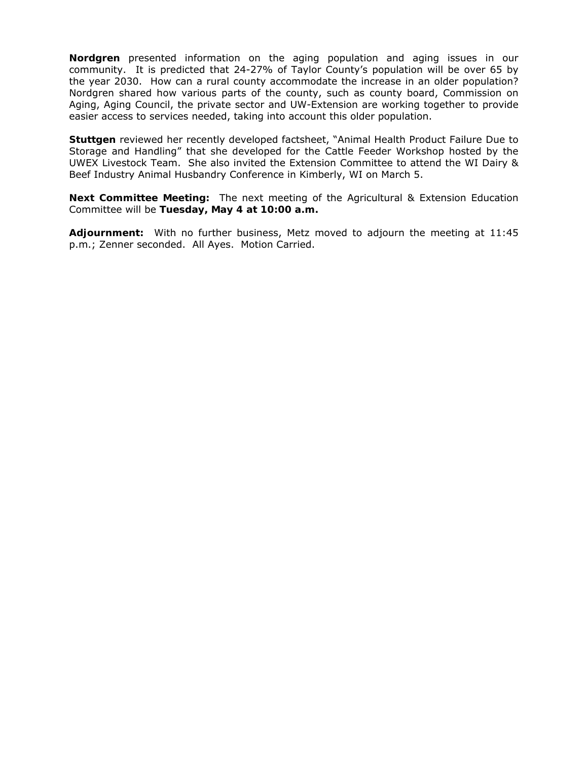**Nordgren** presented information on the aging population and aging issues in our community. It is predicted that 24-27% of Taylor County's population will be over 65 by the year 2030. How can a rural county accommodate the increase in an older population? Nordgren shared how various parts of the county, such as county board, Commission on Aging, Aging Council, the private sector and UW-Extension are working together to provide easier access to services needed, taking into account this older population.

**Stuttgen** reviewed her recently developed factsheet, "Animal Health Product Failure Due to Storage and Handling" that she developed for the Cattle Feeder Workshop hosted by the UWEX Livestock Team. She also invited the Extension Committee to attend the WI Dairy & Beef Industry Animal Husbandry Conference in Kimberly, WI on March 5.

**Next Committee Meeting:** The next meeting of the Agricultural & Extension Education Committee will be **Tuesday, May 4 at 10:00 a.m.**

**Adjournment:** With no further business, Metz moved to adjourn the meeting at 11:45 p.m.; Zenner seconded. All Ayes. Motion Carried.